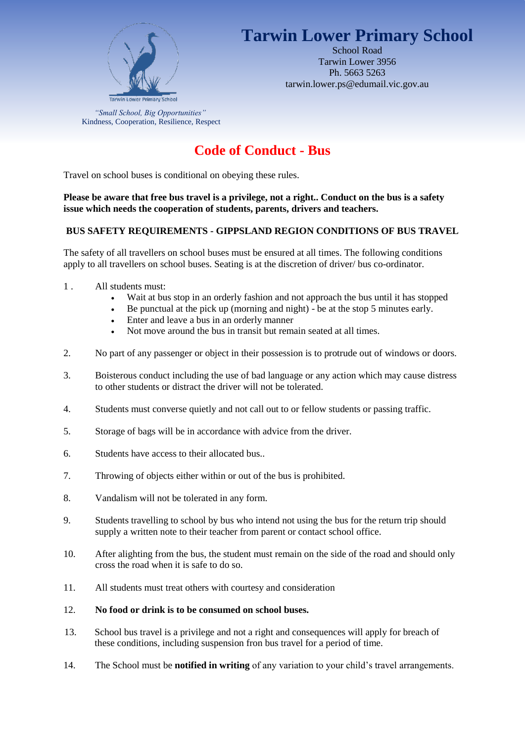

# **Tarwin Lower Primary School**

School Road Tarwin Lower 3956 Ph. 5663 5263 tarwin.lower.ps@edumail.vic.gov.au

*"Small School, Big Opportunities"* Kindness, Cooperation, Resilience, Respect

## **Code of Conduct - Bus**

Travel on school buses is conditional on obeying these rules.

## **Please be aware that free bus travel is a privilege, not a right.. Conduct on the bus is a safety issue which needs the cooperation of students, parents, drivers and teachers.**

## **BUS SAFETY REQUIREMENTS - GIPPSLAND REGION CONDITIONS OF BUS TRAVEL**

The safety of all travellers on school buses must be ensured at all times. The following conditions apply to all travellers on school buses. Seating is at the discretion of driver/ bus co-ordinator.

- 1 . All students must:
	- Wait at bus stop in an orderly fashion and not approach the bus until it has stopped
	- Be punctual at the pick up (morning and night) be at the stop 5 minutes early.
	- Enter and leave a bus in an orderly manner
	- Not move around the bus in transit but remain seated at all times.
- 2. No part of any passenger or object in their possession is to protrude out of windows or doors.
- 3. Boisterous conduct including the use of bad language or any action which may cause distress to other students or distract the driver will not be tolerated.
- 4. Students must converse quietly and not call out to or fellow students or passing traffic.
- 5. Storage of bags will be in accordance with advice from the driver.
- 6. Students have access to their allocated bus..
- 7. Throwing of objects either within or out of the bus is prohibited.
- 8. Vandalism will not be tolerated in any form.
- 9. Students travelling to school by bus who intend not using the bus for the return trip should supply a written note to their teacher from parent or contact school office.
- 10. After alighting from the bus, the student must remain on the side of the road and should only cross the road when it is safe to do so.
- 11. All students must treat others with courtesy and consideration

### 12. **No food or drink is to be consumed on school buses.**

- 13. School bus travel is a privilege and not a right and consequences will apply for breach of these conditions, including suspension fron bus travel for a period of time.
- 14. The School must be **notified in writing** of any variation to your child's travel arrangements.